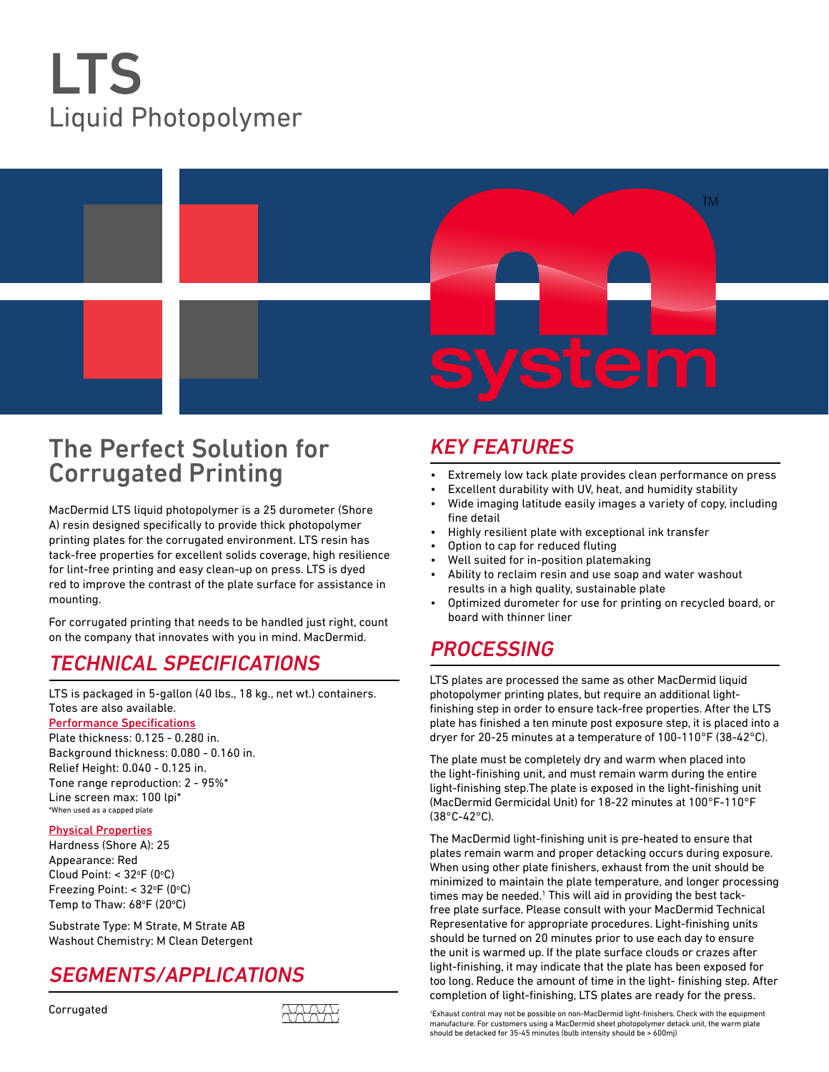# LTS Liquid Photopolymer



# The Perfect Solution for Corrugated Printing

MacDermid LTS liquid photopolymer is a 25 durometer (Shore A) resin designed specifically to provide thick photopolymer printing plates for the corrugated environment. LTS resin has tack-free properties for excellent solids coverage, high resilience for lint-free printing and easy clean-up on press. LTS is dyed red to improve the contrast of the plate surface for assistance in mounting.

For corrugated printing that needs to be handled just right, count on the company that innovates with you in mind. MacDermid.

# Technical specifications

LTS is packaged in 5-gallon (40 lbs., 18 kg., net wt.) containers. Totes are also available.

#### Performance Specifications

Plate thickness: 0.125 - 0.280 in. Background thickness: 0.080 - 0.160 in. Relief Height: 0.040 - 0.125 in. Tone range reproduction: 2 - 95%\* Line screen max: 100 lpi\* \*When used as a capped plate

#### Physical Properties

Hardness (Shore A): 25 Appearance: Red Cloud Point: < 32°F (0°C) Freezing Point: < 32°F (0°C) Temp to Thaw: 68°F (20°C)

Substrate Type: M Strate, M Strate AB Washout Chemistry: M Clean Detergent

# segments/applications



### Key Features

- Extremely low tack plate provides clean performance on press
- Excellent durability with UV, heat, and humidity stability
- Wide imaging latitude easily images a variety of copy, including fine detail
- Highly resilient plate with exceptional ink transfer
- Option to cap for reduced fluting
- Well suited for in-position platemaking
- Ability to reclaim resin and use soap and water washout results in a high quality, sustainable plate
- Optimized durometer for use for printing on recycled board, or board with thinner liner

# **PROCESSING**

LTS plates are processed the same as other MacDermid liquid photopolymer printing plates, but require an additional lightfinishing step in order to ensure tack-free properties. After the LTS plate has finished a ten minute post exposure step, it is placed into a dryer for 20-25 minutes at a temperature of 100-110°F (38-42°C).

The plate must be completely dry and warm when placed into the light-finishing unit, and must remain warm during the entire light-finishing step.The plate is exposed in the light-finishing unit (MacDermid Germicidal Unit) for 18-22 minutes at 100°F-110°F (38°C-42°C).

The MacDermid light-finishing unit is pre-heated to ensure that plates remain warm and proper detacking occurs during exposure. When using other plate finishers, exhaust from the unit should be minimized to maintain the plate temperature, and longer processing times may be needed.<sup>1</sup> This will aid in providing the best tackfree plate surface. Please consult with your MacDermid Technical Representative for appropriate procedures. Light-finishing units should be turned on 20 minutes prior to use each day to ensure the unit is warmed up. If the plate surface clouds or crazes after light-finishing, it may indicate that the plate has been exposed for too long. Reduce the amount of time in the light- finishing step. After completion of light-finishing, LTS plates are ready for the press.

1 Exhaust control may not be possible on non-MacDermid light-finishers. Check with the equipment manufacture. For customers using a MacDermid sheet photopolymer detack unit, the warm plate should be detacked for 35-45 minutes (bulb intensity should be > 600mj)